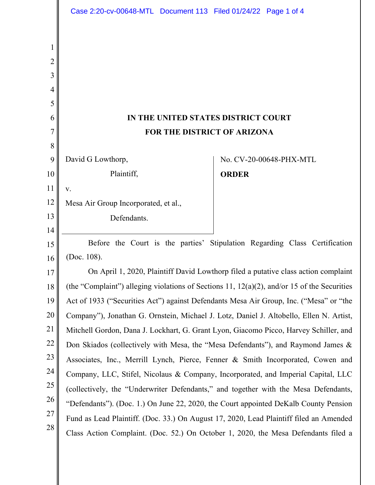|                                                       | Case 2:20-cv-00648-MTL Document 113 Filed 01/24/22 Page 1 of 4                                                                                                                    |                                                                                     |                         |  |
|-------------------------------------------------------|-----------------------------------------------------------------------------------------------------------------------------------------------------------------------------------|-------------------------------------------------------------------------------------|-------------------------|--|
| $\mathbf{1}$<br>$\overline{2}$<br>3<br>$\overline{4}$ |                                                                                                                                                                                   |                                                                                     |                         |  |
| 5                                                     |                                                                                                                                                                                   |                                                                                     |                         |  |
| 6                                                     | IN THE UNITED STATES DISTRICT COURT                                                                                                                                               |                                                                                     |                         |  |
| 7                                                     | FOR THE DISTRICT OF ARIZONA                                                                                                                                                       |                                                                                     |                         |  |
| 8                                                     |                                                                                                                                                                                   |                                                                                     |                         |  |
| 9                                                     | David G Lowthorp,                                                                                                                                                                 |                                                                                     | No. CV-20-00648-PHX-MTL |  |
| 10                                                    | Plaintiff,                                                                                                                                                                        | <b>ORDER</b>                                                                        |                         |  |
| 11                                                    | V.                                                                                                                                                                                |                                                                                     |                         |  |
| 12                                                    | Mesa Air Group Incorporated, et al.,                                                                                                                                              |                                                                                     |                         |  |
| 13                                                    | Defendants.                                                                                                                                                                       |                                                                                     |                         |  |
| 14                                                    |                                                                                                                                                                                   |                                                                                     |                         |  |
| 15                                                    | Before the Court is the parties' Stipulation Regarding Class Certification                                                                                                        |                                                                                     |                         |  |
| 16                                                    | (Doc. 108).                                                                                                                                                                       |                                                                                     |                         |  |
| 17                                                    | On April 1, 2020, Plaintiff David Lowthorp filed a putative class action complaint                                                                                                |                                                                                     |                         |  |
| 18<br>19                                              | (the "Complaint") alleging violations of Sections 11, $12(a)(2)$ , and/or 15 of the Securities                                                                                    |                                                                                     |                         |  |
| 20                                                    | Act of 1933 ("Securities Act") against Defendants Mesa Air Group, Inc. ("Mesa" or "the<br>Company"), Jonathan G. Ornstein, Michael J. Lotz, Daniel J. Altobello, Ellen N. Artist, |                                                                                     |                         |  |
| 21                                                    |                                                                                                                                                                                   |                                                                                     |                         |  |
| 22                                                    | Mitchell Gordon, Dana J. Lockhart, G. Grant Lyon, Giacomo Picco, Harvey Schiller, and                                                                                             |                                                                                     |                         |  |
| 23                                                    | Don Skiados (collectively with Mesa, the "Mesa Defendants"), and Raymond James &                                                                                                  |                                                                                     |                         |  |
| 24                                                    | Associates, Inc., Merrill Lynch, Pierce, Fenner & Smith Incorporated, Cowen and                                                                                                   |                                                                                     |                         |  |
| 25                                                    | Company, LLC, Stifel, Nicolaus & Company, Incorporated, and Imperial Capital, LLC                                                                                                 |                                                                                     |                         |  |
| 26                                                    |                                                                                                                                                                                   | (collectively, the "Underwriter Defendants," and together with the Mesa Defendants, |                         |  |
| 27                                                    | "Defendants"). (Doc. 1.) On June 22, 2020, the Court appointed DeKalb County Pension                                                                                              |                                                                                     |                         |  |
| 28                                                    | Fund as Lead Plaintiff. (Doc. 33.) On August 17, 2020, Lead Plaintiff filed an Amended<br>Class Action Complaint. (Doc. 52.) On October 1, 2020, the Mesa Defendants filed a      |                                                                                     |                         |  |
|                                                       |                                                                                                                                                                                   |                                                                                     |                         |  |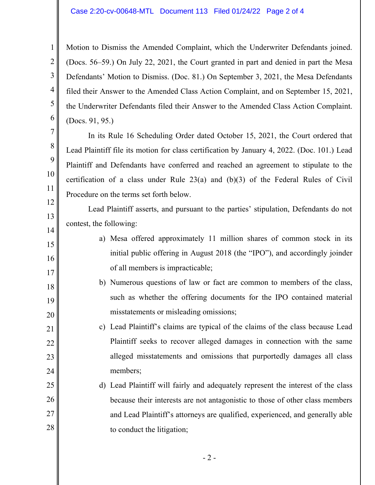## Case 2:20-cv-00648-MTL Document 113 Filed 01/24/22 Page 2 of 4

1

2

3

4

5

6

7

8

9

10

11

12

13

14

15

16

17

18

19

20

21

22

23

24

25

26

27

28

Motion to Dismiss the Amended Complaint, which the Underwriter Defendants joined. (Docs. 56–59.) On July 22, 2021, the Court granted in part and denied in part the Mesa Defendants' Motion to Dismiss. (Doc. 81.) On September 3, 2021, the Mesa Defendants filed their Answer to the Amended Class Action Complaint, and on September 15, 2021, the Underwriter Defendants filed their Answer to the Amended Class Action Complaint. (Docs. 91, 95.)

In its Rule 16 Scheduling Order dated October 15, 2021, the Court ordered that Lead Plaintiff file its motion for class certification by January 4, 2022. (Doc. 101.) Lead Plaintiff and Defendants have conferred and reached an agreement to stipulate to the certification of a class under Rule 23(a) and (b)(3) of the Federal Rules of Civil Procedure on the terms set forth below.

Lead Plaintiff asserts, and pursuant to the parties' stipulation, Defendants do not contest, the following:

- a) Mesa offered approximately 11 million shares of common stock in its initial public offering in August 2018 (the "IPO"), and accordingly joinder of all members is impracticable;
- b) Numerous questions of law or fact are common to members of the class, such as whether the offering documents for the IPO contained material misstatements or misleading omissions;

c) Lead Plaintiff's claims are typical of the claims of the class because Lead Plaintiff seeks to recover alleged damages in connection with the same alleged misstatements and omissions that purportedly damages all class members;

d) Lead Plaintiff will fairly and adequately represent the interest of the class because their interests are not antagonistic to those of other class members and Lead Plaintiff's attorneys are qualified, experienced, and generally able to conduct the litigation;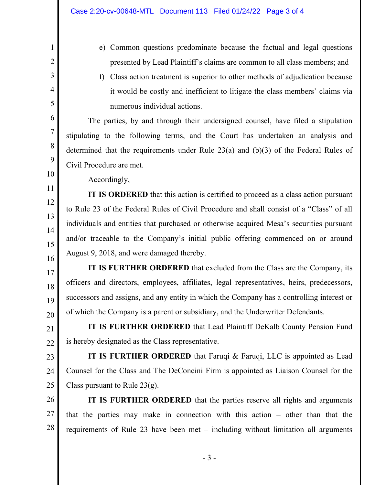- e) Common questions predominate because the factual and legal questions presented by Lead Plaintiff's claims are common to all class members; and
- f) Class action treatment is superior to other methods of adjudication because it would be costly and inefficient to litigate the class members' claims via numerous individual actions.

The parties, by and through their undersigned counsel, have filed a stipulation stipulating to the following terms, and the Court has undertaken an analysis and determined that the requirements under Rule 23(a) and (b)(3) of the Federal Rules of Civil Procedure are met.

Accordingly,

1

2

3

4

5

6

7

8

9

10

11

12

13

14

15

16

IT IS ORDERED that this action is certified to proceed as a class action pursuant to Rule 23 of the Federal Rules of Civil Procedure and shall consist of a "Class" of all individuals and entities that purchased or otherwise acquired Mesa's securities pursuant and/or traceable to the Company's initial public offering commenced on or around August 9, 2018, and were damaged thereby.

17 18 19 20 IT IS FURTHER ORDERED that excluded from the Class are the Company, its officers and directors, employees, affiliates, legal representatives, heirs, predecessors, successors and assigns, and any entity in which the Company has a controlling interest or of which the Company is a parent or subsidiary, and the Underwriter Defendants.

21 22 IT IS FURTHER ORDERED that Lead Plaintiff DeKalb County Pension Fund is hereby designated as the Class representative.

23 24 25 IT IS FURTHER ORDERED that Faruqi & Faruqi, LLC is appointed as Lead Counsel for the Class and The DeConcini Firm is appointed as Liaison Counsel for the Class pursuant to Rule  $23(g)$ .

26 27 28 IT IS FURTHER ORDERED that the parties reserve all rights and arguments that the parties may make in connection with this action – other than that the requirements of Rule 23 have been met – including without limitation all arguments

- 3 -